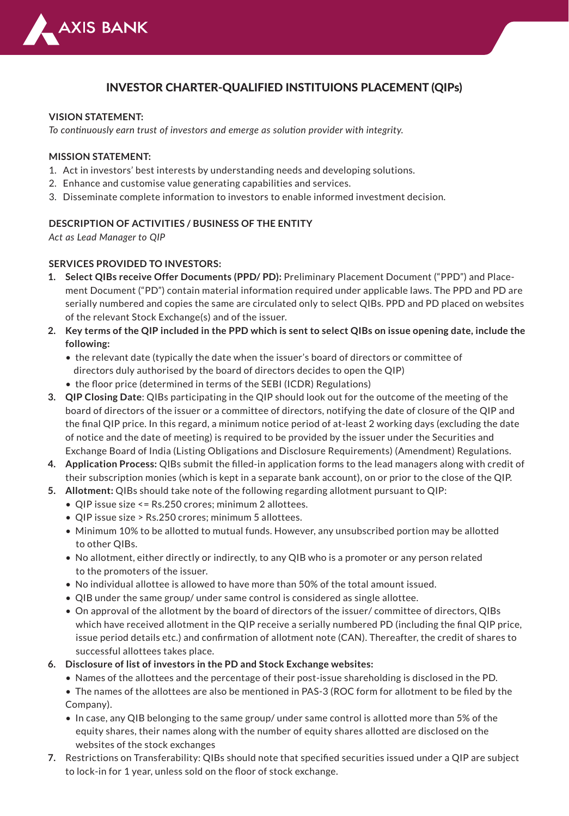

# INVESTOR CHARTER-QUALIFIED INSTITUIONS PLACEMENT (QIPs)

#### **VISION STATEMENT:**

*To continuously earn trust of investors and emerge as solution provider with integrity.*

#### **MISSION STATEMENT:**

- 1. Act in investors' best interests by understanding needs and developing solutions.
- 2. Enhance and customise value generating capabilities and services.
- 3. Disseminate complete information to investors to enable informed investment decision.

#### **DESCRIPTION OF ACTIVITIES / BUSINESS OF THE ENTITY**

*Act as Lead Manager to QIP*

#### **SERVICES PROVIDED TO INVESTORS:**

- **Select QIBs receive Offer Documents (PPD/ PD):** Preliminary Placement Document ("PPD") and Place-**1.** ment Document ("PD") contain material information required under applicable laws. The PPD and PD are serially numbered and copies the same are circulated only to select QIBs. PPD and PD placed on websites of the relevant Stock Exchange(s) and of the issuer.
- **Key terms of the QIP included in the PPD which is sent to select QIBs on issue opening date, include the 2. following:**
	- the relevant date (typically the date when the issuer's board of directors or committee of directors duly authorised by the board of directors decides to open the QIP)
	- the floor price (determined in terms of the SEBI (ICDR) Regulations)
- **QIP Closing Date**: QIBs participating in the QIP should look out for the outcome of the meeting of the **3.** board of directors of the issuer or a committee of directors, notifying the date of closure of the QIP and the final QIP price. In this regard, a minimum notice period of at-least 2 working days (excluding the date of notice and the date of meeting) is required to be provided by the issuer under the Securities and Exchange Board of India (Listing Obligations and Disclosure Requirements) (Amendment) Regulations.
- **Application Process:** QIBs submit the filled-in application forms to the lead managers along with credit of **4.** their subscription monies (which is kept in a separate bank account), on or prior to the close of the QIP.
- **Allotment:** QIBs should take note of the following regarding allotment pursuant to QIP: **5.**
	- QIP issue size <= Rs.250 crores; minimum 2 allottees.
	- QIP issue size > Rs.250 crores; minimum 5 allottees.
	- Minimum 10% to be allotted to mutual funds. However, any unsubscribed portion may be allotted to other QIBs.
	- No allotment, either directly or indirectly, to any QIB who is a promoter or any person related to the promoters of the issuer.
	- No individual allottee is allowed to have more than 50% of the total amount issued.
	- QIB under the same group/ under same control is considered as single allottee.
	- On approval of the allotment by the board of directors of the issuer/ committee of directors, QIBs which have received allotment in the QIP receive a serially numbered PD (including the final QIP price, issue period details etc.) and confirmation of allotment note (CAN). Thereafter, the credit of shares to successful allottees takes place.
- **Disclosure of list of investors in the PD and Stock Exchange websites: 6.**
	- Names of the allottees and the percentage of their post-issue shareholding is disclosed in the PD.
	- The names of the allottees are also be mentioned in PAS-3 (ROC form for allotment to be filed by the Company).
	- In case, any QIB belonging to the same group/ under same control is allotted more than 5% of the equity shares, their names along with the number of equity shares allotted are disclosed on the websites of the stock exchanges
- Restrictions on Transferability: QIBs should note that specified securities issued under a QIP are subject **7.**to lock-in for 1 year, unless sold on the floor of stock exchange.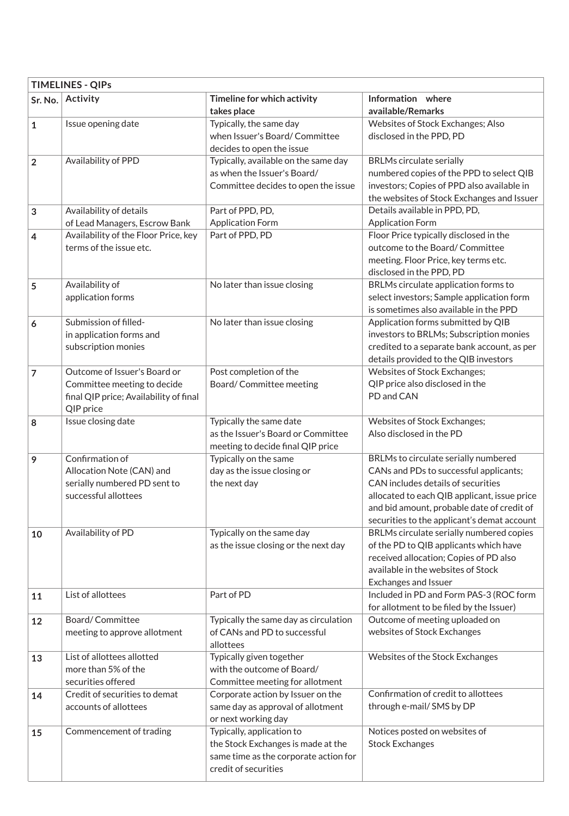| <b>TIMELINES - QIPs</b> |                                                                                                                    |                                                                                                                                  |                                                                                                                                                                                                                                                                   |  |  |
|-------------------------|--------------------------------------------------------------------------------------------------------------------|----------------------------------------------------------------------------------------------------------------------------------|-------------------------------------------------------------------------------------------------------------------------------------------------------------------------------------------------------------------------------------------------------------------|--|--|
| Sr. No.                 | Activity                                                                                                           | Timeline for which activity<br>takes place                                                                                       | Information where<br>available/Remarks                                                                                                                                                                                                                            |  |  |
| $\mathbf{1}$            | Issue opening date                                                                                                 | Typically, the same day<br>when Issuer's Board/Committee<br>decides to open the issue                                            | Websites of Stock Exchanges; Also<br>disclosed in the PPD, PD                                                                                                                                                                                                     |  |  |
| $\overline{2}$          | Availability of PPD                                                                                                | Typically, available on the same day<br>as when the Issuer's Board/<br>Committee decides to open the issue                       | <b>BRLMs circulate serially</b><br>numbered copies of the PPD to select QIB<br>investors; Copies of PPD also available in<br>the websites of Stock Exchanges and Issuer                                                                                           |  |  |
| 3                       | Availability of details<br>of Lead Managers, Escrow Bank                                                           | Part of PPD, PD,<br><b>Application Form</b>                                                                                      | Details available in PPD, PD,<br><b>Application Form</b>                                                                                                                                                                                                          |  |  |
| 4                       | Availability of the Floor Price, key<br>terms of the issue etc.                                                    | Part of PPD, PD                                                                                                                  | Floor Price typically disclosed in the<br>outcome to the Board/Committee<br>meeting. Floor Price, key terms etc.<br>disclosed in the PPD, PD                                                                                                                      |  |  |
| 5                       | Availability of<br>application forms                                                                               | No later than issue closing                                                                                                      | BRLMs circulate application forms to<br>select investors; Sample application form<br>is sometimes also available in the PPD                                                                                                                                       |  |  |
| 6                       | Submission of filled-<br>in application forms and<br>subscription monies                                           | No later than issue closing                                                                                                      | Application forms submitted by QIB<br>investors to BRLMs; Subscription monies<br>credited to a separate bank account, as per<br>details provided to the QIB investors                                                                                             |  |  |
| $\overline{7}$          | Outcome of Issuer's Board or<br>Committee meeting to decide<br>final QIP price; Availability of final<br>QIP price | Post completion of the<br>Board/Committee meeting                                                                                | Websites of Stock Exchanges;<br>QIP price also disclosed in the<br>PD and CAN                                                                                                                                                                                     |  |  |
| 8                       | Issue closing date                                                                                                 | Typically the same date<br>as the Issuer's Board or Committee<br>meeting to decide final QIP price                               | Websites of Stock Exchanges;<br>Also disclosed in the PD                                                                                                                                                                                                          |  |  |
| 9                       | Confirmation of<br>Allocation Note (CAN) and<br>serially numbered PD sent to<br>successful allottees               | Typically on the same<br>day as the issue closing or<br>the next day                                                             | BRLMs to circulate serially numbered<br>CANs and PDs to successful applicants;<br>CAN includes details of securities<br>allocated to each QIB applicant, issue price<br>and bid amount, probable date of credit of<br>securities to the applicant's demat account |  |  |
| 10                      | Availability of PD                                                                                                 | Typically on the same day<br>as the issue closing or the next day                                                                | BRLMs circulate serially numbered copies<br>of the PD to QIB applicants which have<br>received allocation; Copies of PD also<br>available in the websites of Stock<br>Exchanges and Issuer                                                                        |  |  |
| 11                      | List of allottees                                                                                                  | Part of PD                                                                                                                       | Included in PD and Form PAS-3 (ROC form<br>for allotment to be filed by the Issuer)                                                                                                                                                                               |  |  |
| 12                      | Board/Committee<br>meeting to approve allotment                                                                    | Typically the same day as circulation<br>of CANs and PD to successful<br>allottees                                               | Outcome of meeting uploaded on<br>websites of Stock Exchanges                                                                                                                                                                                                     |  |  |
| 13                      | List of allottees allotted<br>more than 5% of the<br>securities offered                                            | Typically given together<br>with the outcome of Board/<br>Committee meeting for allotment                                        | Websites of the Stock Exchanges                                                                                                                                                                                                                                   |  |  |
| 14                      | Credit of securities to demat<br>accounts of allottees                                                             | Corporate action by Issuer on the<br>same day as approval of allotment<br>or next working day                                    | Confirmation of credit to allottees<br>through e-mail/ SMS by DP                                                                                                                                                                                                  |  |  |
| 15                      | Commencement of trading                                                                                            | Typically, application to<br>the Stock Exchanges is made at the<br>same time as the corporate action for<br>credit of securities | Notices posted on websites of<br><b>Stock Exchanges</b>                                                                                                                                                                                                           |  |  |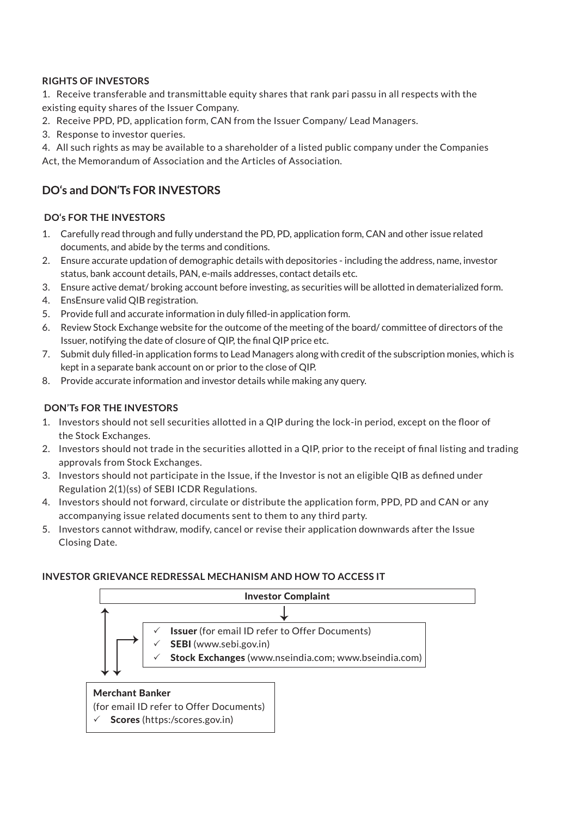## **RIGHTS OF INVESTORS**

1. Receive transferable and transmittable equity shares that rank pari passu in all respects with the existing equity shares of the Issuer Company.

- 2. Receive PPD, PD, application form, CAN from the Issuer Company/ Lead Managers.
- 3. Response to investor queries.

4. All such rights as may be available to a shareholder of a listed public company under the Companies Act, the Memorandum of Association and the Articles of Association.

# **DO's and DON'Ts FOR INVESTORS**

### **DO's FOR THE INVESTORS**

- Carefully read through and fully understand the PD, PD, application form, CAN and other issue related 1. documents, and abide by the terms and conditions.
- Ensure accurate updation of demographic details with depositories including the address, name, investor 2. status, bank account details, PAN, e-mails addresses, contact details etc.
- Ensure active demat/ broking account before investing, as securities will be allotted in dematerialized form. 3.
- EnsEnsure valid QIB registration. 4.
- Provide full and accurate information in duly filled-in application form. 5.
- 6. Review Stock Exchange website for the outcome of the meeting of the board/ committee of directors of the Issuer, notifying the date of closure of QIP, the final QIP price etc.
- 7. Submit duly filled-in application forms to Lead Managers along with credit of the subscription monies, which is kept in a separate bank account on or prior to the close of QIP.
- Provide accurate information and investor details while making any query. 8.

## **DON'Ts FOR THE INVESTORS**

- 1. Investors should not sell securities allotted in a QIP during the lock-in period, except on the floor of the Stock Exchanges.
- 2. Investors should not trade in the securities allotted in a QIP, prior to the receipt of final listing and trading approvals from Stock Exchanges.
- 3. Investors should not participate in the Issue, if the Investor is not an eligible QIB as defined under Regulation 2(1)(ss) of SEBI ICDR Regulations.
- 4. Investors should not forward, circulate or distribute the application form, PPD, PD and CAN or any accompanying issue related documents sent to them to any third party.
- 5. Investors cannot withdraw, modify, cancel or revise their application downwards after the Issue Closing Date.

#### **INVESTOR GRIEVANCE REDRESSAL MECHANISM AND HOW TO ACCESS IT**



(for email ID refer to Offer Documents)  $\checkmark$  Scores (https:/scores.gov.in)